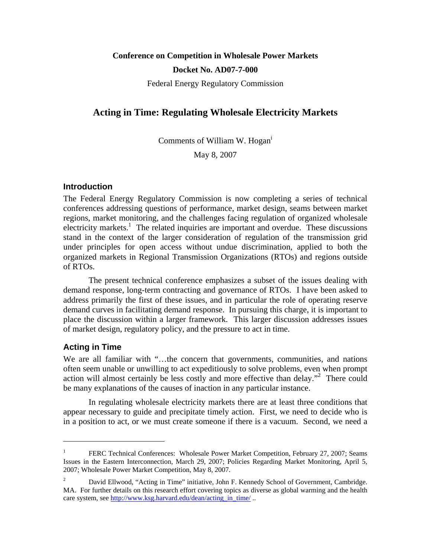# **Conference on Competition in Wholesale Power Markets Docket No. AD07-7-000**

Federal Energy Regulatory Commission

# **Acting in Time: Regulating Wholesale Electricity Markets**

Comments of William W. Hogani

May 8, 2007

#### **Introduction**

The Federal Energy Regulatory Commission is now completing a series of technical conferences addressing questions of performance, market design, seams between market regions, market monitoring, and the challenges facing regulation of organized wholesale electricity markets.<sup>1</sup> The related inquiries are important and overdue. These discussions stand in the context of the larger consideration of regulation of the transmission grid under principles for open access without undue discrimination, applied to both the organized markets in Regional Transmission Organizations (RTOs) and regions outside of RTOs.

 The present technical conference emphasizes a subset of the issues dealing with demand response, long-term contracting and governance of RTOs. I have been asked to address primarily the first of these issues, and in particular the role of operating reserve demand curves in facilitating demand response. In pursuing this charge, it is important to place the discussion within a larger framework. This larger discussion addresses issues of market design, regulatory policy, and the pressure to act in time.

### **Acting in Time**

 $\overline{a}$ 

We are all familiar with "...the concern that governments, communities, and nations often seem unable or unwilling to act expeditiously to solve problems, even when prompt action will almost certainly be less costly and more effective than delay."<sup>2</sup> There could be many explanations of the causes of inaction in any particular instance.

In regulating wholesale electricity markets there are at least three conditions that appear necessary to guide and precipitate timely action. First, we need to decide who is in a position to act, or we must create someone if there is a vacuum. Second, we need a

<sup>1</sup> FERC Technical Conferences: Wholesale Power Market Competition, February 27, 2007; Seams Issues in the Eastern Interconnection, March 29, 2007; Policies Regarding Market Monitoring, April 5, 2007; Wholesale Power Market Competition, May 8, 2007.

<sup>2</sup> David Ellwood, "Acting in Time" initiative, John F. Kennedy School of Government, Cambridge. MA. For further details on this research effort covering topics as diverse as global warming and the health care system, see http://www.ksg.harvard.edu/dean/acting in time/ ...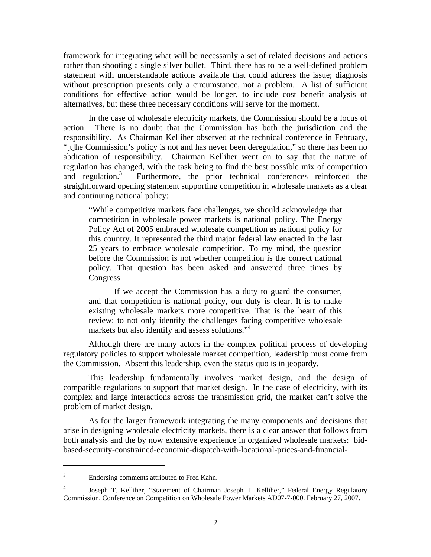framework for integrating what will be necessarily a set of related decisions and actions rather than shooting a single silver bullet. Third, there has to be a well-defined problem statement with understandable actions available that could address the issue; diagnosis without prescription presents only a circumstance, not a problem. A list of sufficient conditions for effective action would be longer, to include cost benefit analysis of alternatives, but these three necessary conditions will serve for the moment.

In the case of wholesale electricity markets, the Commission should be a locus of action. There is no doubt that the Commission has both the jurisdiction and the responsibility. As Chairman Kelliher observed at the technical conference in February, "[t]he Commission's policy is not and has never been deregulation," so there has been no abdication of responsibility. Chairman Kelliher went on to say that the nature of regulation has changed, with the task being to find the best possible mix of competition and regulation.<sup>3</sup> Furthermore, the prior technical conferences reinforced the straightforward opening statement supporting competition in wholesale markets as a clear and continuing national policy:

"While competitive markets face challenges, we should acknowledge that competition in wholesale power markets is national policy. The Energy Policy Act of 2005 embraced wholesale competition as national policy for this country. It represented the third major federal law enacted in the last 25 years to embrace wholesale competition. To my mind, the question before the Commission is not whether competition is the correct national policy. That question has been asked and answered three times by Congress.

If we accept the Commission has a duty to guard the consumer, and that competition is national policy, our duty is clear. It is to make existing wholesale markets more competitive. That is the heart of this review: to not only identify the challenges facing competitive wholesale markets but also identify and assess solutions."<sup>4</sup>

 Although there are many actors in the complex political process of developing regulatory policies to support wholesale market competition, leadership must come from the Commission. Absent this leadership, even the status quo is in jeopardy.

 This leadership fundamentally involves market design, and the design of compatible regulations to support that market design. In the case of electricity, with its complex and large interactions across the transmission grid, the market can't solve the problem of market design.

 As for the larger framework integrating the many components and decisions that arise in designing wholesale electricity markets, there is a clear answer that follows from both analysis and the by now extensive experience in organized wholesale markets: bidbased-security-constrained-economic-dispatch-with-locational-prices-and-financial-

<sup>3</sup> Endorsing comments attributed to Fred Kahn.

<sup>4</sup> Joseph T. Kelliher, "Statement of Chairman Joseph T. Kelliher," Federal Energy Regulatory Commission, Conference on Competition on Wholesale Power Markets AD07-7-000. February 27, 2007.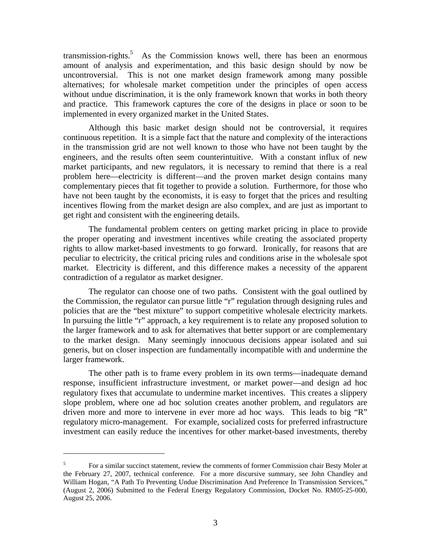transmission-rights.<sup>5</sup> As the Commission knows well, there has been an enormous amount of analysis and experimentation, and this basic design should by now be uncontroversial. This is not one market design framework among many possible alternatives; for wholesale market competition under the principles of open access without undue discrimination, it is the only framework known that works in both theory and practice. This framework captures the core of the designs in place or soon to be implemented in every organized market in the United States.

Although this basic market design should not be controversial, it requires continuous repetition. It is a simple fact that the nature and complexity of the interactions in the transmission grid are not well known to those who have not been taught by the engineers, and the results often seem counterintuitive. With a constant influx of new market participants, and new regulators, it is necessary to remind that there is a real problem here—electricity is different—and the proven market design contains many complementary pieces that fit together to provide a solution. Furthermore, for those who have not been taught by the economists, it is easy to forget that the prices and resulting incentives flowing from the market design are also complex, and are just as important to get right and consistent with the engineering details.

The fundamental problem centers on getting market pricing in place to provide the proper operating and investment incentives while creating the associated property rights to allow market-based investments to go forward. Ironically, for reasons that are peculiar to electricity, the critical pricing rules and conditions arise in the wholesale spot market. Electricity is different, and this difference makes a necessity of the apparent contradiction of a regulator as market designer.

The regulator can choose one of two paths. Consistent with the goal outlined by the Commission, the regulator can pursue little "r" regulation through designing rules and policies that are the "best mixture" to support competitive wholesale electricity markets. In pursuing the little "r" approach, a key requirement is to relate any proposed solution to the larger framework and to ask for alternatives that better support or are complementary to the market design. Many seemingly innocuous decisions appear isolated and sui generis, but on closer inspection are fundamentally incompatible with and undermine the larger framework.

The other path is to frame every problem in its own terms—inadequate demand response, insufficient infrastructure investment, or market power—and design ad hoc regulatory fixes that accumulate to undermine market incentives. This creates a slippery slope problem, where one ad hoc solution creates another problem, and regulators are driven more and more to intervene in ever more ad hoc ways. This leads to big "R" regulatory micro-management. For example, socialized costs for preferred infrastructure investment can easily reduce the incentives for other market-based investments, thereby

<sup>5</sup> For a similar succinct statement, review the comments of former Commission chair Besty Moler at the February 27, 2007, technical conference. For a more discursive summary, see John Chandley and William Hogan, "A Path To Preventing Undue Discrimination And Preference In Transmission Services," (August 2, 2006) Submitted to the Federal Energy Regulatory Commission, Docket No. RM05-25-000, August 25, 2006.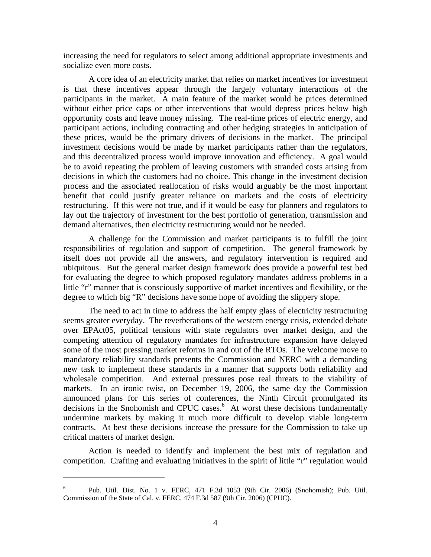increasing the need for regulators to select among additional appropriate investments and socialize even more costs.

A core idea of an electricity market that relies on market incentives for investment is that these incentives appear through the largely voluntary interactions of the participants in the market. A main feature of the market would be prices determined without either price caps or other interventions that would depress prices below high opportunity costs and leave money missing. The real-time prices of electric energy, and participant actions, including contracting and other hedging strategies in anticipation of these prices, would be the primary drivers of decisions in the market. The principal investment decisions would be made by market participants rather than the regulators, and this decentralized process would improve innovation and efficiency. A goal would be to avoid repeating the problem of leaving customers with stranded costs arising from decisions in which the customers had no choice. This change in the investment decision process and the associated reallocation of risks would arguably be the most important benefit that could justify greater reliance on markets and the costs of electricity restructuring. If this were not true, and if it would be easy for planners and regulators to lay out the trajectory of investment for the best portfolio of generation, transmission and demand alternatives, then electricity restructuring would not be needed.

A challenge for the Commission and market participants is to fulfill the joint responsibilities of regulation and support of competition. The general framework by itself does not provide all the answers, and regulatory intervention is required and ubiquitous. But the general market design framework does provide a powerful test bed for evaluating the degree to which proposed regulatory mandates address problems in a little "r" manner that is consciously supportive of market incentives and flexibility, or the degree to which big "R" decisions have some hope of avoiding the slippery slope.

The need to act in time to address the half empty glass of electricity restructuring seems greater everyday. The reverberations of the western energy crisis, extended debate over EPAct05, political tensions with state regulators over market design, and the competing attention of regulatory mandates for infrastructure expansion have delayed some of the most pressing market reforms in and out of the RTOs. The welcome move to mandatory reliability standards presents the Commission and NERC with a demanding new task to implement these standards in a manner that supports both reliability and wholesale competition. And external pressures pose real threats to the viability of markets. In an ironic twist, on December 19, 2006, the same day the Commission announced plans for this series of conferences, the Ninth Circuit promulgated its decisions in the Snohomish and CPUC cases.<sup>6</sup> At worst these decisions fundamentally undermine markets by making it much more difficult to develop viable long-term contracts. At best these decisions increase the pressure for the Commission to take up critical matters of market design.

 Action is needed to identify and implement the best mix of regulation and competition. Crafting and evaluating initiatives in the spirit of little "r" regulation would

<sup>6</sup> Pub. Util. Dist. No. 1 v. FERC, 471 F.3d 1053 (9th Cir. 2006) (Snohomish); Pub. Util. Commission of the State of Cal. v. FERC, 474 F.3d 587 (9th Cir. 2006) (CPUC).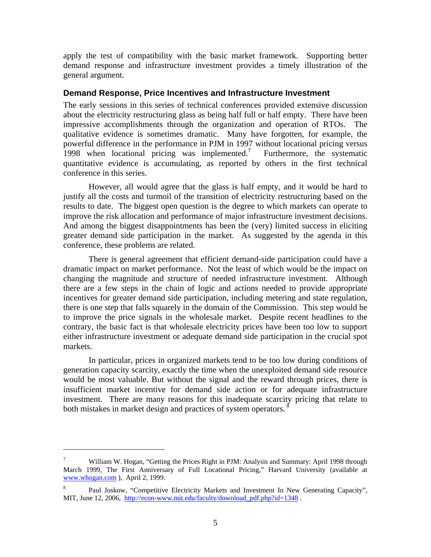apply the test of compatibility with the basic market framework. Supporting better demand response and infrastructure investment provides a timely illustration of the general argument.

#### **Demand Response, Price Incentives and Infrastructure Investment**

The early sessions in this series of technical conferences provided extensive discussion about the electricity restructuring glass as being half full or half empty. There have been impressive accomplishments through the organization and operation of RTOs. The qualitative evidence is sometimes dramatic. Many have forgotten, for example, the powerful difference in the performance in PJM in 1997 without locational pricing versus 1998 when locational pricing was implemented.<sup>7</sup> Furthermore, the systematic quantitative evidence is accumulating, as reported by others in the first technical conference in this series.

 However, all would agree that the glass is half empty, and it would be hard to justify all the costs and turmoil of the transition of electricity restructuring based on the results to date. The biggest open question is the degree to which markets can operate to improve the risk allocation and performance of major infrastructure investment decisions. And among the biggest disappointments has been the (very) limited success in eliciting greater demand side participation in the market. As suggested by the agenda in this conference, these problems are related.

 There is general agreement that efficient demand-side participation could have a dramatic impact on market performance. Not the least of which would be the impact on changing the magnitude and structure of needed infrastructure investment. Although there are a few steps in the chain of logic and actions needed to provide appropriate incentives for greater demand side participation, including metering and state regulation, there is one step that falls squarely in the domain of the Commission. This step would be to improve the price signals in the wholesale market. Despite recent headlines to the contrary, the basic fact is that wholesale electricity prices have been too low to support either infrastructure investment or adequate demand side participation in the crucial spot markets.

 In particular, prices in organized markets tend to be too low during conditions of generation capacity scarcity, exactly the time when the unexploited demand side resource would be most valuable. But without the signal and the reward through prices, there is insufficient market incentive for demand side action or for adequate infrastructure investment. There are many reasons for this inadequate scarcity pricing that relate to both mistakes in market design and practices of system operators.<sup>8</sup>

<sup>7</sup> William W. Hogan, "Getting the Prices Right in PJM: Analysis and Summary: April 1998 through March 1999, The First Anniversary of Full Locational Pricing," Harvard University (available at www.whogan.com ), April 2, 1999.

<sup>8</sup> Paul Joskow, "Competitive Electricity Markets and Investment In New Generating Capacity", MIT, June 12, 2006, http://econ-www.mit.edu/faculty/download\_pdf.php?id=1348.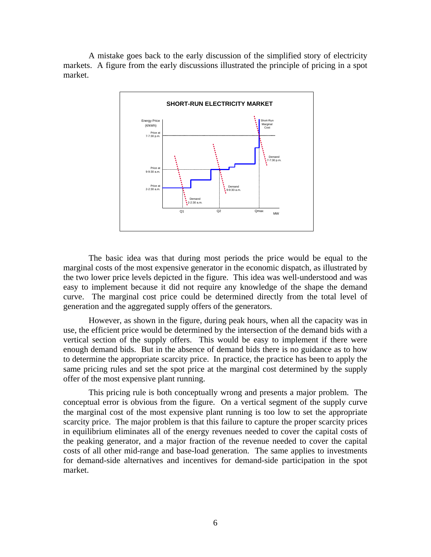A mistake goes back to the early discussion of the simplified story of electricity markets. A figure from the early discussions illustrated the principle of pricing in a spot market.



 The basic idea was that during most periods the price would be equal to the marginal costs of the most expensive generator in the economic dispatch, as illustrated by the two lower price levels depicted in the figure. This idea was well-understood and was easy to implement because it did not require any knowledge of the shape the demand curve. The marginal cost price could be determined directly from the total level of generation and the aggregated supply offers of the generators.

 However, as shown in the figure, during peak hours, when all the capacity was in use, the efficient price would be determined by the intersection of the demand bids with a vertical section of the supply offers. This would be easy to implement if there were enough demand bids. But in the absence of demand bids there is no guidance as to how to determine the appropriate scarcity price. In practice, the practice has been to apply the same pricing rules and set the spot price at the marginal cost determined by the supply offer of the most expensive plant running.

This pricing rule is both conceptually wrong and presents a major problem. The conceptual error is obvious from the figure. On a vertical segment of the supply curve the marginal cost of the most expensive plant running is too low to set the appropriate scarcity price. The major problem is that this failure to capture the proper scarcity prices in equilibrium eliminates all of the energy revenues needed to cover the capital costs of the peaking generator, and a major fraction of the revenue needed to cover the capital costs of all other mid-range and base-load generation. The same applies to investments for demand-side alternatives and incentives for demand-side participation in the spot market.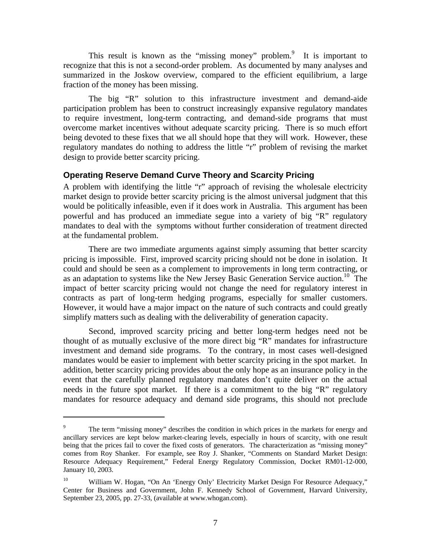This result is known as the "missing money" problem.<sup>9</sup> It is important to recognize that this is not a second-order problem. As documented by many analyses and summarized in the Joskow overview, compared to the efficient equilibrium, a large fraction of the money has been missing.

 The big "R" solution to this infrastructure investment and demand-aide participation problem has been to construct increasingly expansive regulatory mandates to require investment, long-term contracting, and demand-side programs that must overcome market incentives without adequate scarcity pricing. There is so much effort being devoted to these fixes that we all should hope that they will work. However, these regulatory mandates do nothing to address the little "r" problem of revising the market design to provide better scarcity pricing.

#### **Operating Reserve Demand Curve Theory and Scarcity Pricing**

A problem with identifying the little "r" approach of revising the wholesale electricity market design to provide better scarcity pricing is the almost universal judgment that this would be politically infeasible, even if it does work in Australia. This argument has been powerful and has produced an immediate segue into a variety of big "R" regulatory mandates to deal with the symptoms without further consideration of treatment directed at the fundamental problem.

 There are two immediate arguments against simply assuming that better scarcity pricing is impossible. First, improved scarcity pricing should not be done in isolation. It could and should be seen as a complement to improvements in long term contracting, or as an adaptation to systems like the New Jersey Basic Generation Service auction.<sup>10</sup> The impact of better scarcity pricing would not change the need for regulatory interest in contracts as part of long-term hedging programs, especially for smaller customers. However, it would have a major impact on the nature of such contracts and could greatly simplify matters such as dealing with the deliverability of generation capacity.

 Second, improved scarcity pricing and better long-term hedges need not be thought of as mutually exclusive of the more direct big "R" mandates for infrastructure investment and demand side programs. To the contrary, in most cases well-designed mandates would be easier to implement with better scarcity pricing in the spot market. In addition, better scarcity pricing provides about the only hope as an insurance policy in the event that the carefully planned regulatory mandates don't quite deliver on the actual needs in the future spot market. If there is a commitment to the big "R" regulatory mandates for resource adequacy and demand side programs, this should not preclude

1

<sup>9</sup> The term "missing money" describes the condition in which prices in the markets for energy and ancillary services are kept below market-clearing levels, especially in hours of scarcity, with one result being that the prices fail to cover the fixed costs of generators. The characterization as "missing money" comes from Roy Shanker. For example, see Roy J. Shanker, "Comments on Standard Market Design: Resource Adequacy Requirement," Federal Energy Regulatory Commission, Docket RM01-12-000, January 10, 2003.

<sup>&</sup>lt;sup>10</sup> William W. Hogan, "On An 'Energy Only' Electricity Market Design For Resource Adequacy," Center for Business and Government, John F. Kennedy School of Government, Harvard University, September 23, 2005, pp. 27-33, (available at www.whogan.com).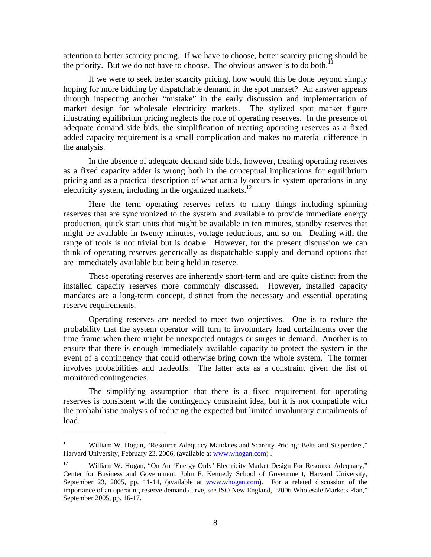attention to better scarcity pricing. If we have to choose, better scarcity pricing should be the priority. But we do not have to choose. The obvious answer is to do both.<sup>11</sup>

 If we were to seek better scarcity pricing, how would this be done beyond simply hoping for more bidding by dispatchable demand in the spot market? An answer appears through inspecting another "mistake" in the early discussion and implementation of market design for wholesale electricity markets. The stylized spot market figure illustrating equilibrium pricing neglects the role of operating reserves. In the presence of adequate demand side bids, the simplification of treating operating reserves as a fixed added capacity requirement is a small complication and makes no material difference in the analysis.

 In the absence of adequate demand side bids, however, treating operating reserves as a fixed capacity adder is wrong both in the conceptual implications for equilibrium pricing and as a practical description of what actually occurs in system operations in any electricity system, including in the organized markets.<sup>12</sup>

 Here the term operating reserves refers to many things including spinning reserves that are synchronized to the system and available to provide immediate energy production, quick start units that might be available in ten minutes, standby reserves that might be available in twenty minutes, voltage reductions, and so on. Dealing with the range of tools is not trivial but is doable. However, for the present discussion we can think of operating reserves generically as dispatchable supply and demand options that are immediately available but being held in reserve.

 These operating reserves are inherently short-term and are quite distinct from the installed capacity reserves more commonly discussed. However, installed capacity mandates are a long-term concept, distinct from the necessary and essential operating reserve requirements.

 Operating reserves are needed to meet two objectives. One is to reduce the probability that the system operator will turn to involuntary load curtailments over the time frame when there might be unexpected outages or surges in demand. Another is to ensure that there is enough immediately available capacity to protect the system in the event of a contingency that could otherwise bring down the whole system. The former involves probabilities and tradeoffs. The latter acts as a constraint given the list of monitored contingencies.

 The simplifying assumption that there is a fixed requirement for operating reserves is consistent with the contingency constraint idea, but it is not compatible with the probabilistic analysis of reducing the expected but limited involuntary curtailments of load.

<sup>&</sup>lt;sup>11</sup> William W. Hogan, "Resource Adequacy Mandates and Scarcity Pricing: Belts and Suspenders," Harvard University, February 23, 2006, (available at www.whogan.com) .

<sup>&</sup>lt;sup>12</sup> William W. Hogan, "On An 'Energy Only' Electricity Market Design For Resource Adequacy," Center for Business and Government, John F. Kennedy School of Government, Harvard University, September 23, 2005, pp. 11-14, (available at www.whogan.com). For a related discussion of the importance of an operating reserve demand curve, see ISO New England, "2006 Wholesale Markets Plan," September 2005, pp. 16-17.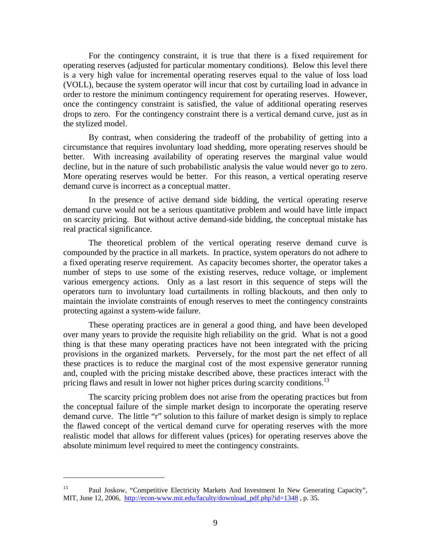For the contingency constraint, it is true that there is a fixed requirement for operating reserves (adjusted for particular momentary conditions). Below this level there is a very high value for incremental operating reserves equal to the value of loss load (VOLL), because the system operator will incur that cost by curtailing load in advance in order to restore the minimum contingency requirement for operating reserves. However, once the contingency constraint is satisfied, the value of additional operating reserves drops to zero. For the contingency constraint there is a vertical demand curve, just as in the stylized model.

 By contrast, when considering the tradeoff of the probability of getting into a circumstance that requires involuntary load shedding, more operating reserves should be better. With increasing availability of operating reserves the marginal value would decline, but in the nature of such probabilistic analysis the value would never go to zero. More operating reserves would be better. For this reason, a vertical operating reserve demand curve is incorrect as a conceptual matter.

 In the presence of active demand side bidding, the vertical operating reserve demand curve would not be a serious quantitative problem and would have little impact on scarcity pricing. But without active demand-side bidding, the conceptual mistake has real practical significance.

 The theoretical problem of the vertical operating reserve demand curve is compounded by the practice in all markets. In practice, system operators do not adhere to a fixed operating reserve requirement. As capacity becomes shorter, the operator takes a number of steps to use some of the existing reserves, reduce voltage, or implement various emergency actions. Only as a last resort in this sequence of steps will the operators turn to involuntary load curtailments in rolling blackouts, and then only to maintain the inviolate constraints of enough reserves to meet the contingency constraints protecting against a system-wide failure.

 These operating practices are in general a good thing, and have been developed over many years to provide the requisite high reliability on the grid. What is not a good thing is that these many operating practices have not been integrated with the pricing provisions in the organized markets. Perversely, for the most part the net effect of all these practices is to reduce the marginal cost of the most expensive generator running and, coupled with the pricing mistake described above, these practices interact with the pricing flaws and result in lower not higher prices during scarcity conditions.<sup>13</sup>

 The scarcity pricing problem does not arise from the operating practices but from the conceptual failure of the simple market design to incorporate the operating reserve demand curve. The little "r" solution to this failure of market design is simply to replace the flawed concept of the vertical demand curve for operating reserves with the more realistic model that allows for different values (prices) for operating reserves above the absolute minimum level required to meet the contingency constraints.

<sup>&</sup>lt;sup>13</sup> Paul Joskow, "Competitive Electricity Markets And Investment In New Generating Capacity", MIT, June 12, 2006, http://econ-www.mit.edu/faculty/download pdf.php?id=1348 , p. 35.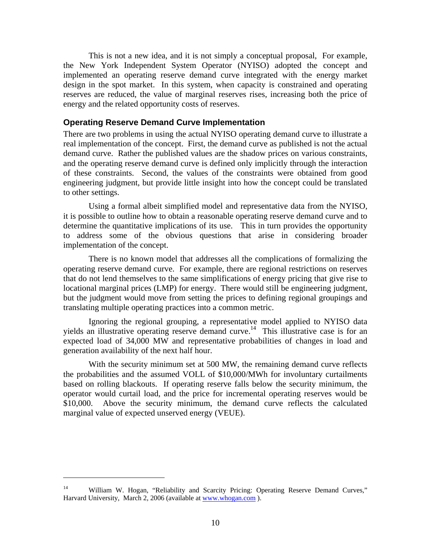This is not a new idea, and it is not simply a conceptual proposal, For example, the New York Independent System Operator (NYISO) adopted the concept and implemented an operating reserve demand curve integrated with the energy market design in the spot market. In this system, when capacity is constrained and operating reserves are reduced, the value of marginal reserves rises, increasing both the price of energy and the related opportunity costs of reserves.

#### **Operating Reserve Demand Curve Implementation**

There are two problems in using the actual NYISO operating demand curve to illustrate a real implementation of the concept. First, the demand curve as published is not the actual demand curve. Rather the published values are the shadow prices on various constraints, and the operating reserve demand curve is defined only implicitly through the interaction of these constraints. Second, the values of the constraints were obtained from good engineering judgment, but provide little insight into how the concept could be translated to other settings.

 Using a formal albeit simplified model and representative data from the NYISO, it is possible to outline how to obtain a reasonable operating reserve demand curve and to determine the quantitative implications of its use. This in turn provides the opportunity to address some of the obvious questions that arise in considering broader implementation of the concept.

 There is no known model that addresses all the complications of formalizing the operating reserve demand curve. For example, there are regional restrictions on reserves that do not lend themselves to the same simplifications of energy pricing that give rise to locational marginal prices (LMP) for energy. There would still be engineering judgment, but the judgment would move from setting the prices to defining regional groupings and translating multiple operating practices into a common metric.

 Ignoring the regional grouping, a representative model applied to NYISO data yields an illustrative operating reserve demand curve.<sup>14</sup> This illustrative case is for an expected load of 34,000 MW and representative probabilities of changes in load and generation availability of the next half hour.

With the security minimum set at 500 MW, the remaining demand curve reflects the probabilities and the assumed VOLL of \$10,000/MWh for involuntary curtailments based on rolling blackouts. If operating reserve falls below the security minimum, the operator would curtail load, and the price for incremental operating reserves would be \$10,000. Above the security minimum, the demand curve reflects the calculated marginal value of expected unserved energy (VEUE).

<sup>&</sup>lt;sup>14</sup> William W. Hogan, "Reliability and Scarcity Pricing: Operating Reserve Demand Curves," Harvard University, March 2, 2006 (available at www.whogan.com).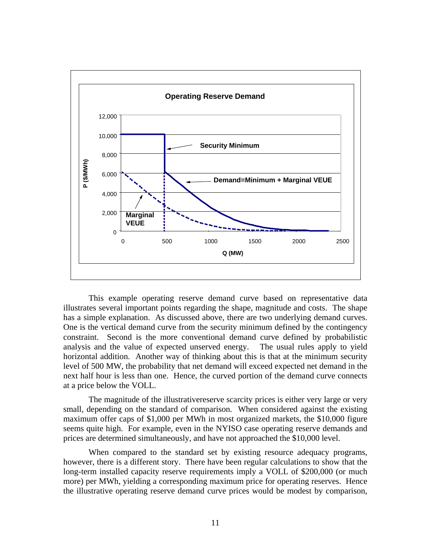

 This example operating reserve demand curve based on representative data illustrates several important points regarding the shape, magnitude and costs. The shape has a simple explanation. As discussed above, there are two underlying demand curves. One is the vertical demand curve from the security minimum defined by the contingency constraint. Second is the more conventional demand curve defined by probabilistic analysis and the value of expected unserved energy. The usual rules apply to yield horizontal addition. Another way of thinking about this is that at the minimum security level of 500 MW, the probability that net demand will exceed expected net demand in the next half hour is less than one. Hence, the curved portion of the demand curve connects at a price below the VOLL.

 The magnitude of the illustrativereserve scarcity prices is either very large or very small, depending on the standard of comparison. When considered against the existing maximum offer caps of \$1,000 per MWh in most organized markets, the \$10,000 figure seems quite high. For example, even in the NYISO case operating reserve demands and prices are determined simultaneously, and have not approached the \$10,000 level.

When compared to the standard set by existing resource adequacy programs, however, there is a different story. There have been regular calculations to show that the long-term installed capacity reserve requirements imply a VOLL of \$200,000 (or much more) per MWh, yielding a corresponding maximum price for operating reserves. Hence the illustrative operating reserve demand curve prices would be modest by comparison,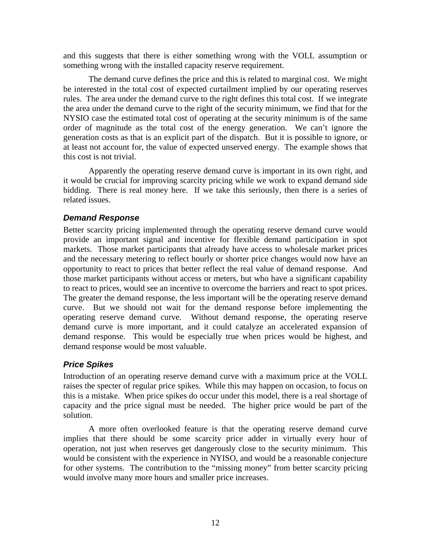and this suggests that there is either something wrong with the VOLL assumption or something wrong with the installed capacity reserve requirement.

The demand curve defines the price and this is related to marginal cost. We might be interested in the total cost of expected curtailment implied by our operating reserves rules. The area under the demand curve to the right defines this total cost. If we integrate the area under the demand curve to the right of the security minimum, we find that for the NYSIO case the estimated total cost of operating at the security minimum is of the same order of magnitude as the total cost of the energy generation. We can't ignore the generation costs as that is an explicit part of the dispatch. But it is possible to ignore, or at least not account for, the value of expected unserved energy. The example shows that this cost is not trivial.

Apparently the operating reserve demand curve is important in its own right, and it would be crucial for improving scarcity pricing while we work to expand demand side bidding. There is real money here. If we take this seriously, then there is a series of related issues.

### *Demand Response*

Better scarcity pricing implemented through the operating reserve demand curve would provide an important signal and incentive for flexible demand participation in spot markets. Those market participants that already have access to wholesale market prices and the necessary metering to reflect hourly or shorter price changes would now have an opportunity to react to prices that better reflect the real value of demand response. And those market participants without access or meters, but who have a significant capability to react to prices, would see an incentive to overcome the barriers and react to spot prices. The greater the demand response, the less important will be the operating reserve demand curve. But we should not wait for the demand response before implementing the operating reserve demand curve. Without demand response, the operating reserve demand curve is more important, and it could catalyze an accelerated expansion of demand response. This would be especially true when prices would be highest, and demand response would be most valuable.

# *Price Spikes*

Introduction of an operating reserve demand curve with a maximum price at the VOLL raises the specter of regular price spikes. While this may happen on occasion, to focus on this is a mistake. When price spikes do occur under this model, there is a real shortage of capacity and the price signal must be needed. The higher price would be part of the solution.

 A more often overlooked feature is that the operating reserve demand curve implies that there should be some scarcity price adder in virtually every hour of operation, not just when reserves get dangerously close to the security minimum. This would be consistent with the experience in NYISO, and would be a reasonable conjecture for other systems. The contribution to the "missing money" from better scarcity pricing would involve many more hours and smaller price increases.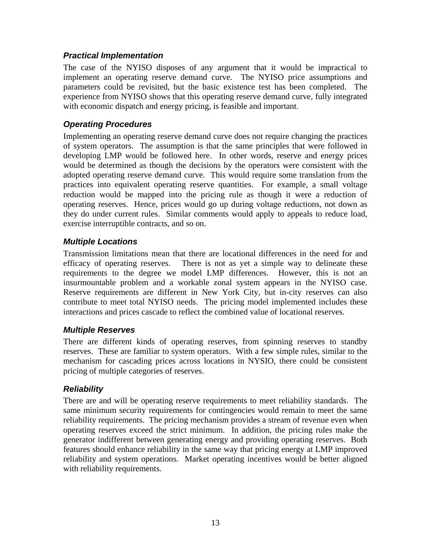### *Practical Implementation*

The case of the NYISO disposes of any argument that it would be impractical to implement an operating reserve demand curve. The NYISO price assumptions and parameters could be revisited, but the basic existence test has been completed. The experience from NYISO shows that this operating reserve demand curve, fully integrated with economic dispatch and energy pricing, is feasible and important.

## *Operating Procedures*

Implementing an operating reserve demand curve does not require changing the practices of system operators. The assumption is that the same principles that were followed in developing LMP would be followed here. In other words, reserve and energy prices would be determined as though the decisions by the operators were consistent with the adopted operating reserve demand curve. This would require some translation from the practices into equivalent operating reserve quantities. For example, a small voltage reduction would be mapped into the pricing rule as though it were a reduction of operating reserves. Hence, prices would go up during voltage reductions, not down as they do under current rules. Similar comments would apply to appeals to reduce load, exercise interruptible contracts, and so on.

### *Multiple Locations*

Transmission limitations mean that there are locational differences in the need for and efficacy of operating reserves. There is not as yet a simple way to delineate these requirements to the degree we model LMP differences. However, this is not an insurmountable problem and a workable zonal system appears in the NYISO case. Reserve requirements are different in New York City, but in-city reserves can also contribute to meet total NYISO needs. The pricing model implemented includes these interactions and prices cascade to reflect the combined value of locational reserves.

### *Multiple Reserves*

There are different kinds of operating reserves, from spinning reserves to standby reserves. These are familiar to system operators. With a few simple rules, similar to the mechanism for cascading prices across locations in NYSIO, there could be consistent pricing of multiple categories of reserves.

# *Reliability*

There are and will be operating reserve requirements to meet reliability standards. The same minimum security requirements for contingencies would remain to meet the same reliability requirements. The pricing mechanism provides a stream of revenue even when operating reserves exceed the strict minimum. In addition, the pricing rules make the generator indifferent between generating energy and providing operating reserves. Both features should enhance reliability in the same way that pricing energy at LMP improved reliability and system operations. Market operating incentives would be better aligned with reliability requirements.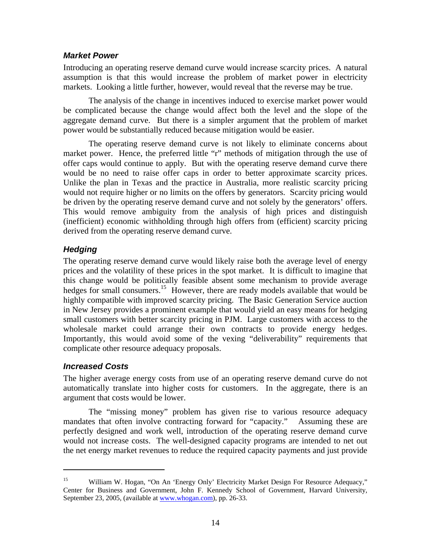#### *Market Power*

Introducing an operating reserve demand curve would increase scarcity prices. A natural assumption is that this would increase the problem of market power in electricity markets. Looking a little further, however, would reveal that the reverse may be true.

 The analysis of the change in incentives induced to exercise market power would be complicated because the change would affect both the level and the slope of the aggregate demand curve. But there is a simpler argument that the problem of market power would be substantially reduced because mitigation would be easier.

 The operating reserve demand curve is not likely to eliminate concerns about market power. Hence, the preferred little "r" methods of mitigation through the use of offer caps would continue to apply. But with the operating reserve demand curve there would be no need to raise offer caps in order to better approximate scarcity prices. Unlike the plan in Texas and the practice in Australia, more realistic scarcity pricing would not require higher or no limits on the offers by generators. Scarcity pricing would be driven by the operating reserve demand curve and not solely by the generators' offers. This would remove ambiguity from the analysis of high prices and distinguish (inefficient) economic withholding through high offers from (efficient) scarcity pricing derived from the operating reserve demand curve.

### *Hedging*

The operating reserve demand curve would likely raise both the average level of energy prices and the volatility of these prices in the spot market. It is difficult to imagine that this change would be politically feasible absent some mechanism to provide average hedges for small consumers.<sup>15</sup> However, there are ready models available that would be highly compatible with improved scarcity pricing. The Basic Generation Service auction in New Jersey provides a prominent example that would yield an easy means for hedging small customers with better scarcity pricing in PJM. Large customers with access to the wholesale market could arrange their own contracts to provide energy hedges. Importantly, this would avoid some of the vexing "deliverability" requirements that complicate other resource adequacy proposals.

### *Increased Costs*

1

The higher average energy costs from use of an operating reserve demand curve do not automatically translate into higher costs for customers. In the aggregate, there is an argument that costs would be lower.

 The "missing money" problem has given rise to various resource adequacy mandates that often involve contracting forward for "capacity." Assuming these are perfectly designed and work well, introduction of the operating reserve demand curve would not increase costs. The well-designed capacity programs are intended to net out the net energy market revenues to reduce the required capacity payments and just provide

<sup>&</sup>lt;sup>15</sup> William W. Hogan, "On An 'Energy Only' Electricity Market Design For Resource Adequacy," Center for Business and Government, John F. Kennedy School of Government, Harvard University, September 23, 2005, (available at www.whogan.com), pp. 26-33.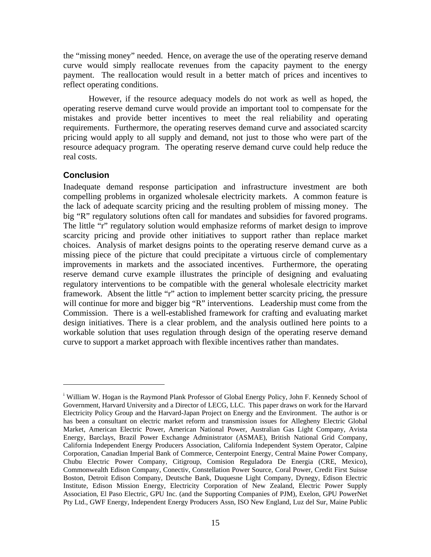the "missing money" needed. Hence, on average the use of the operating reserve demand curve would simply reallocate revenues from the capacity payment to the energy payment. The reallocation would result in a better match of prices and incentives to reflect operating conditions.

 However, if the resource adequacy models do not work as well as hoped, the operating reserve demand curve would provide an important tool to compensate for the mistakes and provide better incentives to meet the real reliability and operating requirements. Furthermore, the operating reserves demand curve and associated scarcity pricing would apply to all supply and demand, not just to those who were part of the resource adequacy program. The operating reserve demand curve could help reduce the real costs.

#### **Conclusion**

1

Inadequate demand response participation and infrastructure investment are both compelling problems in organized wholesale electricity markets. A common feature is the lack of adequate scarcity pricing and the resulting problem of missing money. The big "R" regulatory solutions often call for mandates and subsidies for favored programs. The little "r" regulatory solution would emphasize reforms of market design to improve scarcity pricing and provide other initiatives to support rather than replace market choices. Analysis of market designs points to the operating reserve demand curve as a missing piece of the picture that could precipitate a virtuous circle of complementary improvements in markets and the associated incentives. Furthermore, the operating reserve demand curve example illustrates the principle of designing and evaluating regulatory interventions to be compatible with the general wholesale electricity market framework. Absent the little "r" action to implement better scarcity pricing, the pressure will continue for more and bigger big "R" interventions. Leadership must come from the Commission. There is a well-established framework for crafting and evaluating market design initiatives. There is a clear problem, and the analysis outlined here points to a workable solution that uses regulation through design of the operating reserve demand curve to support a market approach with flexible incentives rather than mandates.

<sup>&</sup>lt;sup>i</sup> William W. Hogan is the Raymond Plank Professor of Global Energy Policy, John F. Kennedy School of Government, Harvard University and a Director of LECG, LLC. This paper draws on work for the Harvard Electricity Policy Group and the Harvard-Japan Project on Energy and the Environment. The author is or has been a consultant on electric market reform and transmission issues for Allegheny Electric Global Market, American Electric Power, American National Power, Australian Gas Light Company, Avista Energy, Barclays, Brazil Power Exchange Administrator (ASMAE), British National Grid Company, California Independent Energy Producers Association, California Independent System Operator, Calpine Corporation, Canadian Imperial Bank of Commerce, Centerpoint Energy, Central Maine Power Company, Chubu Electric Power Company, Citigroup, Comision Reguladora De Energia (CRE, Mexico), Commonwealth Edison Company, Conectiv, Constellation Power Source, Coral Power, Credit First Suisse Boston, Detroit Edison Company, Deutsche Bank, Duquesne Light Company, Dynegy, Edison Electric Institute, Edison Mission Energy, Electricity Corporation of New Zealand, Electric Power Supply Association, El Paso Electric, GPU Inc. (and the Supporting Companies of PJM), Exelon, GPU PowerNet Pty Ltd., GWF Energy, Independent Energy Producers Assn, ISO New England, Luz del Sur, Maine Public